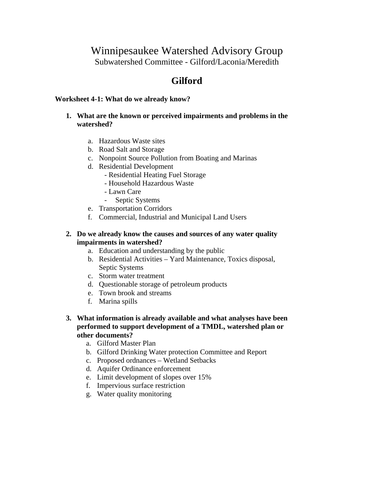## Winnipesaukee Watershed Advisory Group Subwatershed Committee - Gilford/Laconia/Meredith

# **Gilford**

#### **Worksheet 4-1: What do we already know?**

#### **1. What are the known or perceived impairments and problems in the watershed?**

- a. Hazardous Waste sites
- b. Road Salt and Storage
- c. Nonpoint Source Pollution from Boating and Marinas
- d. Residential Development
	- Residential Heating Fuel Storage
	- Household Hazardous Waste
	- Lawn Care
	- Septic Systems
- e. Transportation Corridors
- f. Commercial, Industrial and Municipal Land Users

#### **2. Do we already know the causes and sources of any water quality impairments in watershed?**

- a. Education and understanding by the public
- b. Residential Activities Yard Maintenance, Toxics disposal, Septic Systems
- c. Storm water treatment
- d. Questionable storage of petroleum products
- e. Town brook and streams
- f. Marina spills

#### **3. What information is already available and what analyses have been performed to support development of a TMDL, watershed plan or other documents?**

- a. Gilford Master Plan
- b. Gilford Drinking Water protection Committee and Report
- c. Proposed ordnances Wetland Setbacks
- d. Aquifer Ordinance enforcement
- e. Limit development of slopes over 15%
- f. Impervious surface restriction
- g. Water quality monitoring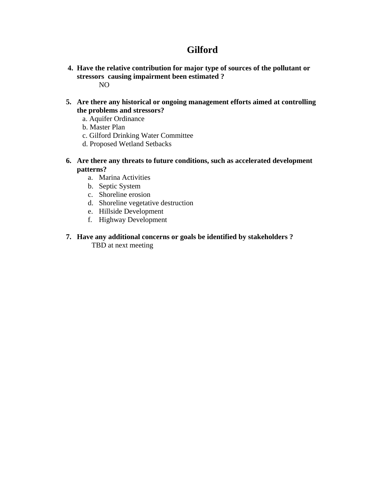# **Gilford**

- **4. Have the relative contribution for major type of sources of the pollutant or stressors causing impairment been estimated ?**  NO
- **5. Are there any historical or ongoing management efforts aimed at controlling the problems and stressors?** 
	- a. Aquifer Ordinance
	- b. Master Plan
	- c. Gilford Drinking Water Committee
	- d. Proposed Wetland Setbacks
- **6. Are there any threats to future conditions, such as accelerated development patterns?** 
	- a. Marina Activities
	- b. Septic System
	- c. Shoreline erosion
	- d. Shoreline vegetative destruction
	- e. Hillside Development
	- f. Highway Development
- **7. Have any additional concerns or goals be identified by stakeholders ?**  TBD at next meeting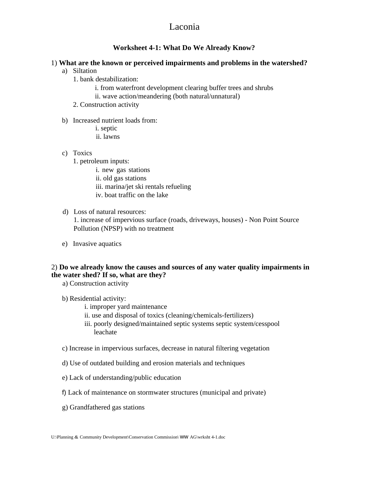### Laconia

#### **Worksheet 4-1: What Do We Already Know?**

#### 1) **What are the known or perceived impairments and problems in the watershed?**

- a) Siltation
	- 1. bank destabilization:
		- i. from waterfront development clearing buffer trees and shrubs
		- ii. wave action/meandering (both natural/unnatural)
	- 2. Construction activity
- b) Increased nutrient loads from: i. septic
	- ii. lawns
- c) Toxics
	- 1. petroleum inputs:
		- i. new gas stations
		- ii. old gas stations
		- iii. marina/jet ski rentals refueling
		- iv. boat traffic on the lake
- d) Loss of natural resources:

1. increase of impervious surface (roads, driveways, houses) - Non Point Source Pollution (NPSP) with no treatment

e) Invasive aquatics

#### 2) **Do we already know the causes and sources of any water quality impairments in the water shed? If so, what are they?**

- a) Construction activity
- b) Residential activity:
	- i. improper yard maintenance
	- ii. use and disposal of toxics (cleaning/chemicals-fertilizers)
	- iii. poorly designed/maintained septic systems septic system/cesspool leachate
- c) Increase in impervious surfaces, decrease in natural filtering vegetation
- d) Use of outdated building and erosion materials and techniques
- e) Lack of understanding/public education
- f) Lack of maintenance on stormwater structures (municipal and private)
- g) Grandfathered gas stations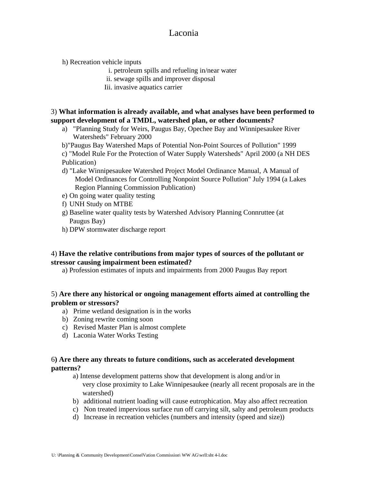## Laconia

h) Recreation vehicle inputs

- i. petroleum spills and refueling in/near water
- ii. sewage spills and improver disposal
- Iii. invasive aquatics carrier

#### 3) **What information is already available, and what analyses have been performed to support development of a TMDL, watershed plan, or other documents?**

- a) "Planning Study for Weirs, Paugus Bay, Opechee Bay and Winnipesaukee River Watersheds" February 2000
- b)"Paugus Bay Watershed Maps of Potential Non-Point Sources of Pollution" 1999
- c) "Model Rule For the Protection of Water Supply Watersheds" April 2000 (a NH DES Publication)
- d) "Lake Winnipesaukee Watershed Project Model Ordinance Manual, A Manual of Model Ordinances for Controlling Nonpoint Source Pollution" July 1994 (a Lakes Region Planning Commission Publication)
- e) On going water quality testing
- f) UNH Study on MTBE
- g) Baseline water quality tests by Watershed Advisory Planning Connruttee (at Paugus Bay)
- h) DPW stormwater discharge report

#### 4) **Have the relative contributions from major types of sources of the pollutant or stressor causing impairment been estimated?**

a) Profession estimates of inputs and impairments from 2000 Paugus Bay report

#### 5) **Are there any historical or ongoing management efforts aimed at controlling the problem or stressors?**

- a) Prime wetland designation is in the works
- b) Zoning rewrite coming soon
- c) Revised Master Plan is almost complete
- d) Laconia Water Works Testing

#### 6**) Are there any threats to future conditions, such as accelerated development patterns?**

- a) Intense development patterns show that development is along and/or in very close proximity to Lake Winnipesaukee (nearly all recent proposals are in the watershed)
- b) additional nutrient loading will cause eutrophication. May also affect recreation
- c) Non treated impervious surface run off carrying silt, salty and petroleum products
- d) Increase in recreation vehicles (numbers and intensity (speed and size))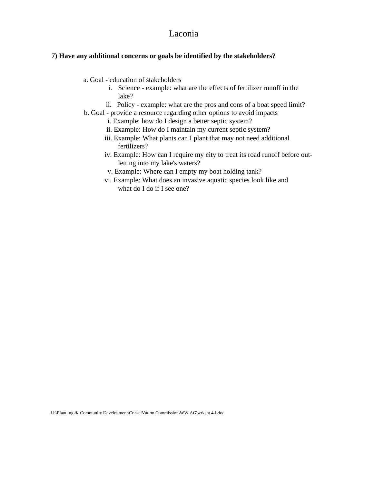### Laconia

#### **7) Have any additional concerns or goals be identified by the stakeholders?**

- a. Goal education of stakeholders
	- i. Science example: what are the effects of fertilizer runoff in the lake?
	- ii. Policy example: what are the pros and cons of a boat speed limit?
- b. Goal provide a resource regarding other options to avoid impacts
	- i. Example: how do I design a better septic system?
	- ii. Example: How do I maintain my current septic system?
	- iii. Example: What plants can I plant that may not need additional fertilizers?
	- iv. Example: How can I require my city to treat its road runoff before outletting into my lake's waters?
	- v. Example: Where can I empty my boat holding tank?
	- vi. Example: What does an invasive aquatic species look like and what do I do if I see one?

U:\PIanuing & Community Development\ConselVation Commission\WW AG\wrksbt 4-Ldoc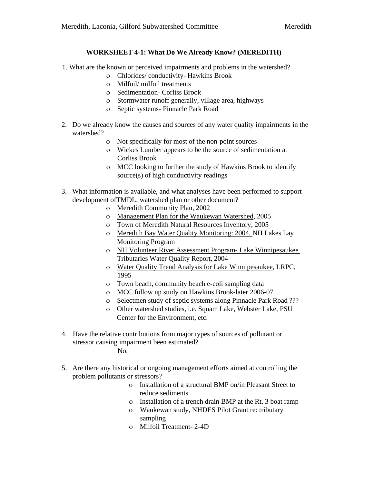#### **WORKSHEET 4-1: What Do We Already Know? (MEREDITH)**

- 1. What are the known or perceived impairments and problems in the watershed?
	- ο Chlorides/ conductivity- Hawkins Brook
	- ο Milfoil/ milfoil treatments
	- ο Sedimentation- Corliss Brook
	- ο Stormwater runoff generally, village area, highways
	- ο Septic systems- Pinnacle Park Road
- 2. Do we already know the causes and sources of any water quality impairments in the watershed?
	- ο Not specifically for most of the non-point sources
	- ο Wickes Lumber appears to be the source of sedimentation at Corliss Brook
	- ο MCC looking to further the study of Hawkins Brook to identify source(s) of high conductivity readings
- 3. What information is available, and what analyses have been performed to support development ofTMDL, watershed plan or other document?
	- ο Meredith Community Plan, 2002
	- ο Management Plan for the Waukewan Watershed, 2005
	- ο Town of Meredith Natural Resources Inventory, 2005
	- ο Meredith Bay Water Quality Monitoring: 2004, NH Lakes Lay Monitoring Program
	- ο NH Volunteer River Assessment Program- Lake Winnipesaukee Tributaries Water Quality Report, 2004
	- ο Water Quality Trend Analysis for Lake Winnipesaukee, LRPC, 1995
	- ο Town beach, community beach e-coli sampling data
	- ο MCC follow up study on Hawkins Brook-later 2006-07
	- ο Selectmen study of septic systems along Pinnacle Park Road ???
	- ο Other watershed studies, i.e. Squam Lake, Webster Lake, PSU Center for the Environment, etc.
- 4. Have the relative contributions from major types of sources of pollutant or stressor causing impairment been estimated?

No.

- 5. Are there any historical or ongoing management efforts aimed at controlling the problem pollutants or stressors?
	- ο Installation of a structural BMP on/in Pleasant Street to reduce sediments
	- ο Installation of a trench drain BMP at the Rt. 3 boat ramp
	- ο Waukewan study, NHDES Pilot Grant re: tributary sampling
	- ο Milfoil Treatment- 2-4D